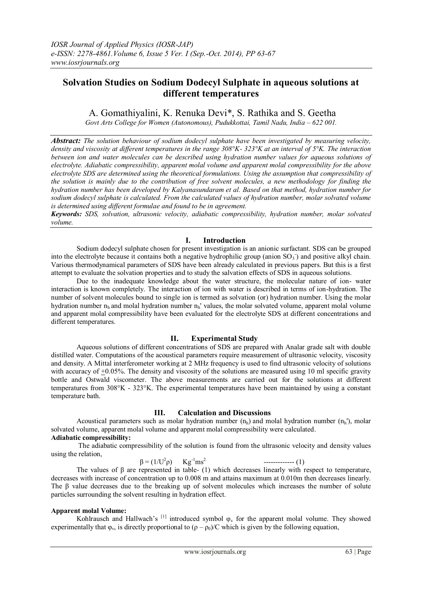# **Solvation Studies on Sodium Dodecyl Sulphate in aqueous solutions at different temperatures**

# A. Gomathiyalini, K. Renuka Devi\*, S. Rathika and S. Geetha

*Govt Arts College for Women (Autonomous), Pudukkottai, Tamil Nadu, India – 622 001.* 

*Abstract: The solution behaviour of sodium dodecyl sulphate have been investigated by measuring velocity, density and viscosity at different temperatures in the range 308°K- 323°K at an interval of 5°K. The interaction between ion and water molecules can be described using hydration number values for aqueous solutions of electrolyte. Adiabatic compressibility, apparent molal volume and apparent molal compressibility for the above electrolyte SDS are determined using the theoretical formulations. Using the assumption that compressibility of the solution is mainly due to the contribution of free solvent molecules, a new methodology for finding the hydration number has been developed by Kalyanasundaram et al. Based on that method, hydration number for sodium dodecyl sulphate is calculated. From the calculated values of hydration number, molar solvated volume is determined using different formulae and found to be in agreement.*

*Keywords: SDS, solvation, ultrasonic velocity, adiabatic compressibility, hydration number, molar solvated volume.*

# **I. Introduction**

Sodium dodecyl sulphate chosen for present investigation is an anionic surfactant. SDS can be grouped into the electrolyte because it contains both a negative hydrophilic group (anion SO<sub>3</sub><sup>-</sup>) and positive alkyl chain. Various thermodynamical parameters of SDS have been already calculated in previous papers. But this is a first attempt to evaluate the solvation properties and to study the salvation effects of SDS in aqueous solutions.

Due to the inadequate knowledge about the water structure, the molecular nature of ion- water interaction is known completely. The interaction of ion with water is described in terms of ion-hydration. The number of solvent molecules bound to single ion is termed as solvation (or) hydration number. Using the molar hydration number  $n_h$  and molal hydration number  $n_h$ ' values, the molar solvated volume, apparent molal volume and apparent molal compressibility have been evaluated for the electrolyte SDS at different concentrations and different temperatures.

# **II. Experimental Study**

Aqueous solutions of different concentrations of SDS are prepared with Analar grade salt with double distilled water. Computations of the acoustical parameters require measurement of ultrasonic velocity, viscosity and density. A Mittal interferometer working at 2 MHz frequency is used to find ultrasonic velocity of solutions with accuracy of +0.05%. The density and viscosity of the solutions are measured using 10 ml specific gravity bottle and Ostwald viscometer. The above measurements are carried out for the solutions at different temperatures from 308°K - 323°K. The experimental temperatures have been maintained by using a constant temperature bath.

# **III. Calculation and Discussions**

Acoustical parameters such as molar hydration number  $(n_h)$  and molal hydration number  $(n_h)$ , molar solvated volume, apparent molal volume and apparent molal compressibility were calculated. **Adiabatic compressibility:**

The adiabatic compressibility of the solution is found from the ultrasonic velocity and density values using the relation,

 $\beta = (1/U^2 \rho)$  $Kg^{-1}ms^2$ ------------- (1)

The values of  $\beta$  are represented in table- (1) which decreases linearly with respect to temperature, decreases with increase of concentration up to 0.008 m and attains maximum at 0.010m then decreases linearly. The β value decreases due to the breaking up of solvent molecules which increases the number of solute

## **Apparent molal Volume:**

particles surrounding the solvent resulting in hydration effect.

Kohlrausch and Hallwach's  $\left[1\right]$  introduced symbol  $\varphi$  for the apparent molal volume. They showed experimentally that  $\phi_{\nu}$  is directly proportional to  $(\rho - \rho_0)/C$  which is given by the following equation,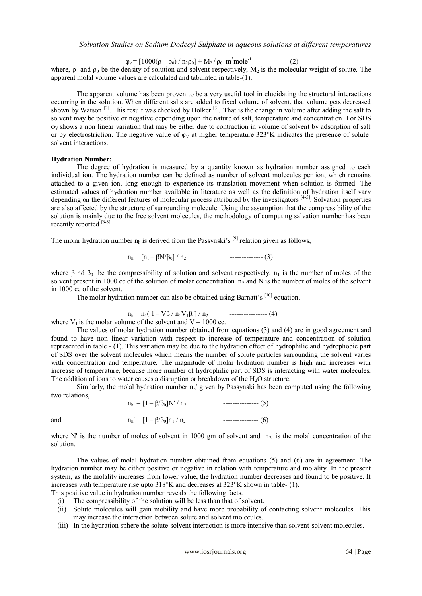$\varphi_v = [1000(\rho - \rho_0) / n_2 \rho_0] + M_2 / \rho_0$  m<sup>3</sup>mole<sup>-1</sup> ---------------- (2)

where,  $\rho$  and  $\rho_0$  be the density of solution and solvent respectively. M<sub>2</sub> is the molecular weight of solute. The apparent molal volume values are calculated and tabulated in table-(1).

The apparent volume has been proven to be a very useful tool in elucidating the structural interactions occurring in the solution. When different salts are added to fixed volume of solvent, that volume gets decreased shown by Watson<sup>[2]</sup>. This result was checked by Holker<sup>[3]</sup>. That is the change in volume after adding the salt to solvent may be positive or negative depending upon the nature of salt, temperature and concentration. For SDS  $\phi_V$  shows a non linear variation that may be either due to contraction in volume of solvent by adsorption of salt or by electrostriction. The negative value of  $\varphi_V$  at higher temperature 323°K indicates the presence of solutesolvent interactions.

### **Hydration Number:**

The degree of hydration is measured by a quantity known as hydration number assigned to each individual ion. The hydration number can be defined as number of solvent molecules per ion, which remains attached to a given ion, long enough to experience its translation movement when solution is formed. The estimated values of hydration number available in literature as well as the definition of hydration itself vary depending on the different features of molecular process attributed by the investigators [4-5]. Solvation properties are also affected by the structure of surrounding molecule. Using the assumption that the compressibility of the solution is mainly due to the free solvent molecules, the methodology of computing salvation number has been recently reported [6-8].

The molar hydration number  $n_h$  is derived from the Passynski's  $[9]$  relation given as follows,

n<sup>h</sup> = [n1 – βN/β0] / n2 -------------- (3)

where  $\beta$  nd  $\beta_0$  be the compressibility of solution and solvent respectively, n<sub>1</sub> is the number of moles of the solvent present in 1000 cc of the solution of molar concentration  $n_2$  and N is the number of moles of the solvent in 1000 cc of the solvent.

The molar hydration number can also be obtained using Barnatt's [10] equation,

n<sup>h</sup> = n1( 1 – Vβ / n1V1β0] / n2 ---------------- (4)

where  $V_1$  is the molar volume of the solvent and  $V = 1000$  cc.

The values of molar hydration number obtained from equations (3) and (4) are in good agreement and found to have non linear variation with respect to increase of temperature and concentration of solution represented in table - (1). This variation may be due to the hydration effect of hydrophilic and hydrophobic part of SDS over the solvent molecules which means the number of solute particles surrounding the solvent varies with concentration and temperature. The magnitude of molar hydration number is high and increases with increase of temperature, because more number of hydrophilic part of SDS is interacting with water molecules. The addition of ions to water causes a disruption or breakdown of the  $H_2O$  structure.

Similarly, the molal hydration number  $n_h$ ' given by Passynski has been computed using the following two relations,  $n_i' = [1 - \frac{\beta}{\beta_0}]N' / n_2'$  --------------- (5)

|     | $\mu_h = 1 - p/p_0 \mu v / \mu_2$   | --------------- UU |
|-----|-------------------------------------|--------------------|
| and | $n_h' = [1 - \beta/\beta_0]n_1/n_2$ | $--------- (6)$    |

where N' is the number of moles of solvent in 1000 gm of solvent and  $n_2$ ' is the molal concentration of the solution.

The values of molal hydration number obtained from equations (5) and (6) are in agreement. The hydration number may be either positive or negative in relation with temperature and molality. In the present system, as the molality increases from lower value, the hydration number decreases and found to be positive. It increases with temperature rise upto 318°K and decreases at 323°K shown in table- (1). This positive value in hydration number reveals the following facts.

- (i) The compressibility of the solution will be less than that of solvent.
- (ii) Solute molecules will gain mobility and have more probability of contacting solvent molecules. This
- may increase the interaction between solute and solvent molecules.
- (iii) In the hydration sphere the solute-solvent interaction is more intensive than solvent-solvent molecules.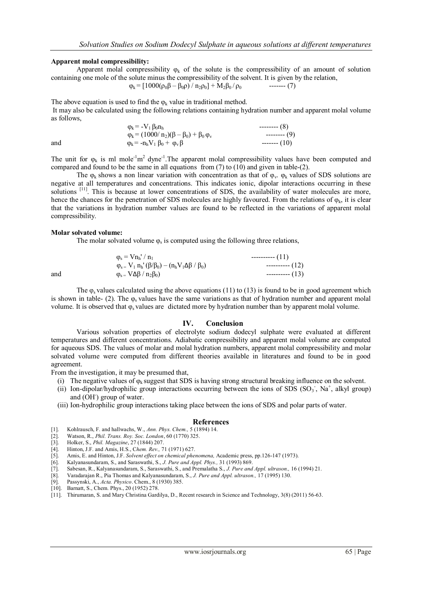#### **Apparent molal compressibility:**

Apparent molal compressibility  $\varphi_k$  of the solute is the compressibility of an amount of solution containing one mole of the solute minus the compressibility of the solvent. It is given by the relation,

$$
\varphi_{k} = [1000(\rho_0 \beta - \beta_0 \rho) / n_2 \rho_0] + M_2 \beta_0 / \rho_0 \qquad \qquad \text{---} \qquad (7)
$$

The above equation is used to find the  $\varphi_k$  value in traditional method. It may also be calculated using the following relations containing hydration number and apparent molal volume as follows,

|     | $\varphi_{\rm k}$ = $-V_1 \beta_0 n_{\rm h}$                  | $---(8)$  |
|-----|---------------------------------------------------------------|-----------|
|     | $\varphi_k = (1000/n_2)(\beta - \beta_0) + \beta_0 \varphi_v$ | $---(9)$  |
| and | $\varphi_k = -n_h V_1 \beta_0 + \varphi_v \beta$              | $---(10)$ |

The unit for  $\varphi_k$  is ml mole<sup>-1</sup>m<sup>2</sup> dyne<sup>-1</sup>. The apparent molal compressibility values have been computed and compared and found to be the same in all equations from (7) to (10) and given in table-(2).

The  $\varphi_k$  shows a non linear variation with concentration as that of  $\varphi_v$ .  $\varphi_k$  values of SDS solutions are negative at all temperatures and concentrations. This indicates ionic, dipolar interactions occurring in these solutions <sup>[11]</sup>. This is because at lower concentrations of SDS, the availability of water molecules are more, hence the chances for the penetration of SDS molecules are highly favoured. From the relations of  $\varphi_k$ , it is clear that the variations in hydration number values are found to be reflected in the variations of apparent molal compressibility.

#### **Molar solvated volume:**

The molar solvated volume  $\varphi_s$  is computed using the following three relations,

 $\varphi_{\rm s} = \mathrm{Vn}_{\rm h} / n_1$  ---------- (11)  $\varphi_{s} = V_1 n_h' (\beta/\beta_0) - (n_h V_1 \Delta \beta / \beta_0)$  ----------- (12) and  $\phi_s = V \Delta \beta / n_2 \beta_0$   $(13)$ 

The  $\varphi_s$  values calculated using the above equations (11) to (13) is found to be in good agreement which is shown in table- (2). The  $\varphi$ <sub>s</sub> values have the same variations as that of hydration number and apparent molal volume. It is observed that  $\varphi_s$  values are dictated more by hydration number than by apparent molal volume.

### **IV. Conclusion**

Various solvation properties of electrolyte sodium dodecyl sulphate were evaluated at different temperatures and different concentrations. Adiabatic compressibility and apparent molal volume are computed for aqueous SDS. The values of molar and molal hydration numbers, apparent molal compressibility and molar solvated volume were computed from different theories available in literatures and found to be in good agreement.

From the investigation, it may be presumed that,

- (i) The negative values of  $\varphi_k$  suggest that SDS is having strong structural breaking influence on the solvent.
- (ii) Ion-dipolar/hydrophilic group interactions occurring between the ions of SDS  $(SO<sub>3</sub>)$ , Na<sup>+</sup>, alkyl group) and (OH) group of water.
- (iii) Ion-hydrophilic group interactions taking place between the ions of SDS and polar parts of water.

#### **References**

- [1]. Kohlrausch, F. and hallwachs, W., *Ann. Phys. Chem.,* 5 (1894) 14.
- [2]. Watson, R., *Phil. Trans. Roy. Soc. London*, 60 (1770) 325.
- [3]. Holker, S., *Phil. Magazine*, 27 (1844) 207.
- [4]. Hinton, J.F. and Amis, H.S., C*hem. Rev.,* 71 (1971) 627.
- [5]. Amis, E. and Hinton, J.F. *Solvent effect on chemical phenomena,* Academic press, pp.126-147 (1973).
- [6]. Kalyanasundaram, S., and Saraswathi, S., *J. Pure and Appl. Phys.,* 31 (1993) 869.
- [7]. Sabesan, R., Kalyanasundaram, S., Saraswathi, S., and Premalatha S., *J. Pure and Appl. ultrason.,* 16 (1994) 21.
- [8]. Varadarajan R., Pia Thomas and Kalyanasundaram, S., *J. Pure and Appl. ultrason.,* 17 (1995) 130.
- [9]. Passynski, A., *Acta. Physico*. Chem., 8 (1930) 385. [9]. Fassynski, A., Actu. 1 hyster. Chem., c.
-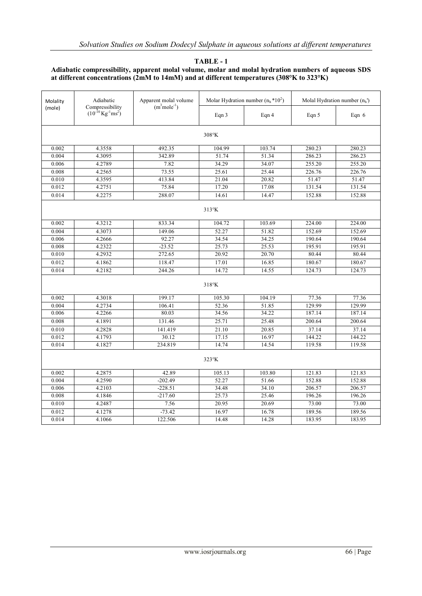## **TABLE - 1**

## **Adiabatic compressibility, apparent molal volume, molar and molal hydration numbers of aqueous SDS at different concentrations (2mM to 14mM) and at different temperatures (308°K to 323°K)**

| Molality<br>(mole) | Adiabatic<br>$(m^3mole^{-1})$<br>Compressibility<br>$(10^{-10} \text{Kg}^{-1} \text{ms}^2)$ | Apparent molal volume |        | Molar Hydration number $(n_h * 10^2)$ | Molal Hydration number $(n_h)$ |         |  |
|--------------------|---------------------------------------------------------------------------------------------|-----------------------|--------|---------------------------------------|--------------------------------|---------|--|
|                    |                                                                                             |                       | Eqn 3  | Eqn 4                                 | Eqn 5                          | Eqn $6$ |  |
|                    | 308°K                                                                                       |                       |        |                                       |                                |         |  |
| 0.002              | 4.3558                                                                                      | 492.35                | 104.99 | 103.74                                | 280.23                         | 280.23  |  |
| 0.004              | 4.3095                                                                                      | 342.89                | 51.74  | 51.34                                 | 286.23                         | 286.23  |  |
| 0.006              | 4.2789                                                                                      | 7.82                  | 34.29  | 34.07                                 | 255.20                         | 255.20  |  |
| 0.008              | 4.2565                                                                                      | 73.55                 | 25.61  | 25.44                                 | 226.76                         | 226.76  |  |
| 0.010              | 4.3595                                                                                      | 413.84                | 21.04  | 20.82                                 | 51.47                          | 51.47   |  |
| 0.012              | 4.2751                                                                                      | 75.84                 | 17.20  | 17.08                                 | 131.54                         | 131.54  |  |
| 0.014              | 4.2275                                                                                      | 288.07                | 14.61  | 14.47                                 | 152.88                         | 152.88  |  |
| 313°K              |                                                                                             |                       |        |                                       |                                |         |  |
| 0.002              | 4.3212                                                                                      | 833.34                | 104.72 | 103.69                                | 224.00                         | 224.00  |  |
| 0.004              | 4.3073                                                                                      | 149.06                | 52.27  | 51.82                                 | 152.69                         | 152.69  |  |
| 0.006              | 4.2666                                                                                      | 92.27                 | 34.54  | 34.25                                 | 190.64                         | 190.64  |  |
| 0.008              | 4.2322                                                                                      | $-23.52$              | 25.73  | 25.53                                 | 195.91                         | 195.91  |  |
| 0.010              | 4.2932                                                                                      | 272.65                | 20.92  | 20.70                                 | 80.44                          | 80.44   |  |
| 0.012              | 4.1862                                                                                      | 118.47                | 17.01  | 16.85                                 | 180.67                         | 180.67  |  |
| 0.014              | 4.2182                                                                                      | 244.26                | 14.72  | 14.55                                 | 124.73                         | 124.73  |  |
|                    | $318^\circ K$                                                                               |                       |        |                                       |                                |         |  |
| 0.002              | 4.3018                                                                                      | 199.17                | 105.30 | 104.19                                | 77.36                          | 77.36   |  |
| 0.004              | 4.2734                                                                                      | 106.41                | 52.36  | 51.85                                 | 129.99                         | 129.99  |  |
| 0.006              | 4.2266                                                                                      | 80.03                 | 34.56  | 34.22                                 | 187.14                         | 187.14  |  |
| 0.008              | 4.1891                                                                                      | 131.46                | 25.71  | 25.48                                 | 200.64                         | 200.64  |  |
| 0.010              | 4.2828                                                                                      | 141.419               | 21.10  | 20.85                                 | 37.14                          | 37.14   |  |
| 0.012              | 4.1793                                                                                      | 30.12                 | 17.15  | 16.97                                 | 144.22                         | 144.22  |  |
| 0.014              | 4.1827                                                                                      | 234.819               | 14.74  | 14.54                                 | 119.58                         | 119.58  |  |
| 323°K              |                                                                                             |                       |        |                                       |                                |         |  |
| 0.002              | 4.2875                                                                                      | 42.89                 | 105.13 | 103.80                                | 121.83                         | 121.83  |  |
| 0.004              | 4.2590                                                                                      | $-202.49$             | 52.27  | 51.66                                 | 152.88                         | 152.88  |  |
| 0.006              | 4.2103                                                                                      | $-228.51$             | 34.48  | 34.10                                 | 206.57                         | 206.57  |  |
| 0.008              | 4.1846                                                                                      | $-217.60$             | 25.73  | 25.46                                 | 196.26                         | 196.26  |  |
| 0.010              | 4.2487                                                                                      | 7.56                  | 20.95  | 20.69                                 | 73.00                          | 73.00   |  |
| 0.012              | 4.1278                                                                                      | $-73.42$              | 16.97  | 16.78                                 | 189.56                         | 189.56  |  |
| 0.014              | 4.1066                                                                                      | 122.506               | 14.48  | 14.28                                 | 183.95                         | 183.95  |  |